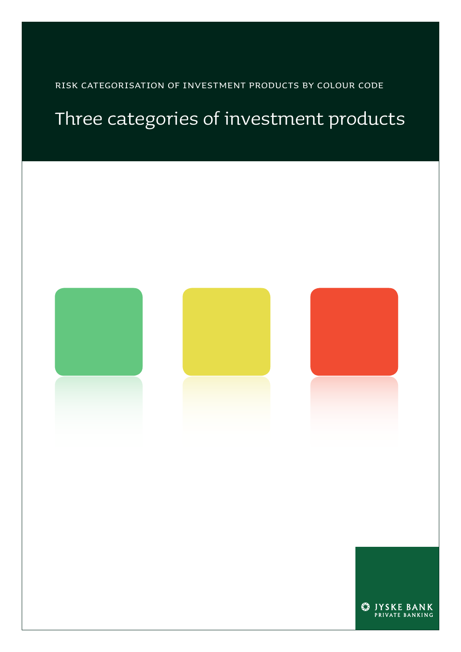Risk categorisation of investment products by colour code

## Three categories of investment products

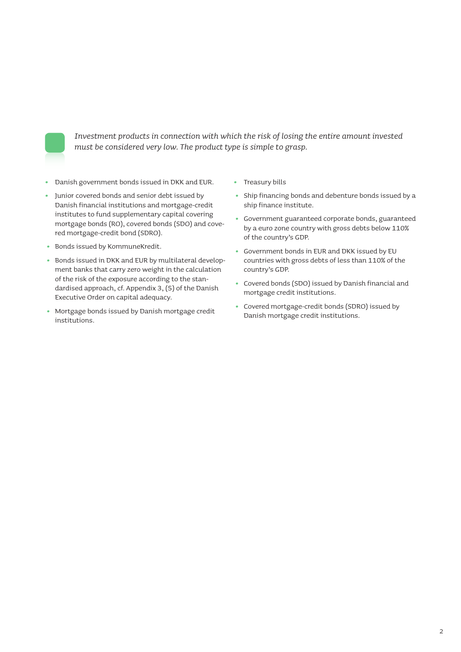

*Investment products in connection with which the risk of losing the entire amount invested must be considered very low. The product type is simple to grasp.*

- Danish government bonds issued in DKK and EUR.
- Junior covered bonds and senior debt issued by Danish financial institutions and mortgage-credit institutes to fund supplementary capital covering mortgage bonds (RO), covered bonds (SDO) and covered mortgage-credit bond (SDRO).
- Bonds issued by KommuneKredit.
- Bonds issued in DKK and EUR by multilateral development banks that carry zero weight in the calculation of the risk of the exposure according to the standardised approach, cf. Appendix 3, (5) of the Danish Executive Order on capital adequacy.
- Mortgage bonds issued by Danish mortgage credit institutions.
- Treasury bills
- Ship financing bonds and debenture bonds issued by a ship finance institute.
- Government guaranteed corporate bonds, guaranteed by a euro zone country with gross debts below 110% of the country's GDP.
- Government bonds in EUR and DKK issued by EU countries with gross debts of less than 110% of the country's GDP.
- Covered bonds (SDO) issued by Danish financial and mortgage credit institutions.
- Covered mortgage-credit bonds (SDRO) issued by Danish mortgage credit institutions.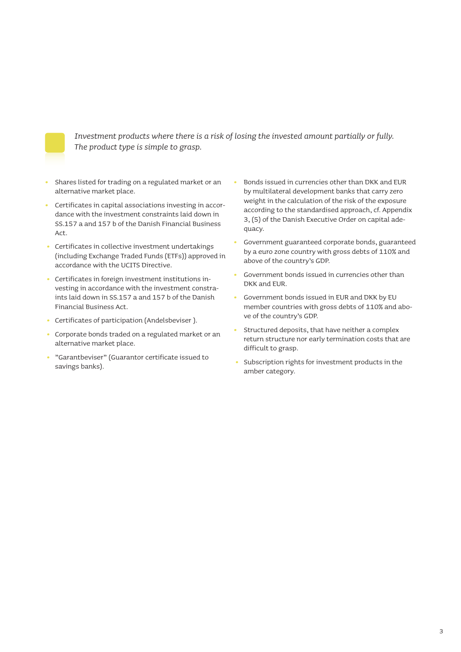

*Investment products where there is a risk of losing the invested amount partially or fully. The product type is simple to grasp.*

- Shares listed for trading on a regulated market or an alternative market place.
- Certificates in capital associations investing in accordance with the investment constraints laid down in SS.157 a and 157 b of the Danish Financial Business  $\Delta$ ct
- Certificates in collective investment undertakings (including Exchange Traded Funds (ETFs)) approved in accordance with the UCITS Directive.
- Certificates in foreign investment institutions investing in accordance with the investment constraints laid down in SS.157 a and 157 b of the Danish Financial Business Act.
- Certificates of participation (Andelsbeviser ).
- Corporate bonds traded on a regulated market or an alternative market place.
- "Garantbeviser" (Guarantor certificate issued to savings banks).
- Bonds issued in currencies other than DKK and EUR by multilateral development banks that carry zero weight in the calculation of the risk of the exposure according to the standardised approach, cf. Appendix 3, (5) of the Danish Executive Order on capital adequacy.
- Government guaranteed corporate bonds, guaranteed by a euro zone country with gross debts of 110% and above of the country's GDP.
- Government bonds issued in currencies other than DKK and EUR.
- Government bonds issued in EUR and DKK by EU member countries with gross debts of 110% and above of the country's GDP.
- Structured deposits, that have neither a complex return structure nor early termination costs that are difficult to grasp.
- Subscription rights for investment products in the amber category.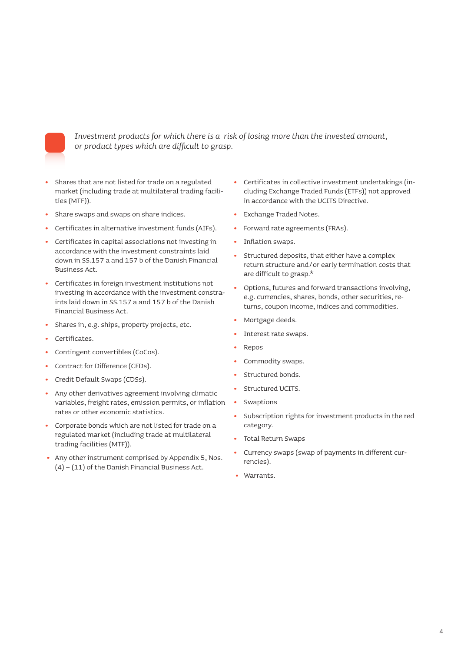

*Investment products for which there is a risk of losing more than the invested amount, or product types which are difficult to grasp.*

- **•** Shares that are not listed for trade on a regulated market (including trade at multilateral trading facilities (MTF)).
- **•** Share swaps and swaps on share indices.
- **•** Certificates in alternative investment funds (AIFs).
- **•** Certificates in capital associations not investing in accordance with the investment constraints laid down in SS.157 a and 157 b of the Danish Financial Business Act.
- **•** Certificates in foreign investment institutions not investing in accordance with the investment constraints laid down in SS.157 a and 157 b of the Danish Financial Business Act.
- **•** Shares in, e.g. ships, property projects, etc.
- **•** Certificates.
- **•** Contingent convertibles (CoCos).
- **•** Contract for Difference (CFDs).
- **•** Credit Default Swaps (CDSs).
- **•** Any other derivatives agreement involving climatic variables, freight rates, emission permits, or inflation rates or other economic statistics.
- **•** Corporate bonds which are not listed for trade on a regulated market (including trade at multilateral trading facilities (MTF)).
- **•** Any other instrument comprised by Appendix 5, Nos. (4) – (11) of the Danish Financial Business Act.
- **•** Certificates in collective investment undertakings (including Exchange Traded Funds (ETFs)) not approved in accordance with the UCITS Directive.
- **•** Exchange Traded Notes.
- **•** Forward rate agreements (FRAs).
- **•** Inflation swaps.
- **•** Structured deposits, that either have a complex return structure and/or early termination costs that are difficult to grasp.\*
- **•** Options, futures and forward transactions involving, e.g. currencies, shares, bonds, other securities, returns, coupon income, indices and commodities.
- **•** Mortgage deeds.
- **•** Interest rate swaps.
- **•** Repos
- **•** Commodity swaps.
- **•** Structured bonds.
- **•** Structured UCITS.
- **•** Swaptions
- **•** Subscription rights for investment products in the red category.
- **•** Total Return Swaps
- **•** Currency swaps (swap of payments in different currencies).
- **•** Warrants.